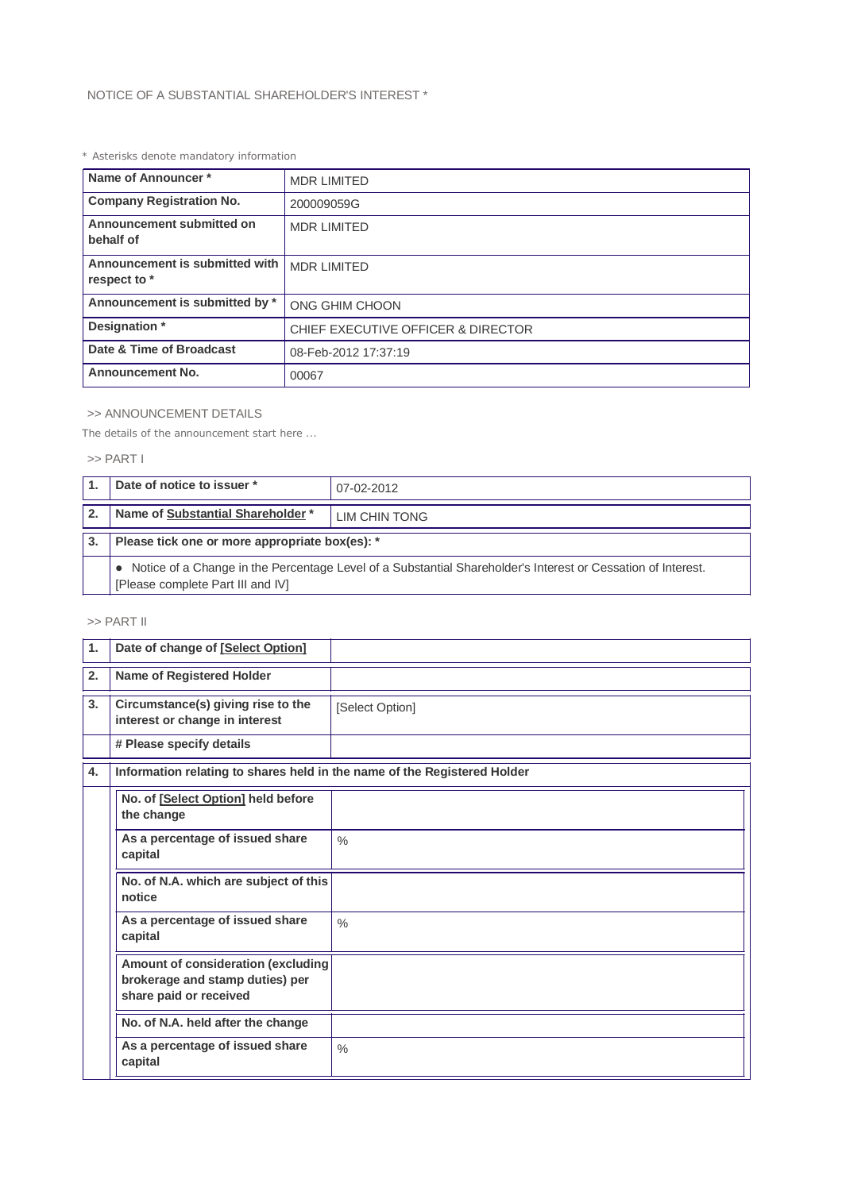## *\* Asterisks denote mandatory information*

| Name of Announcer*                             | <b>MDR LIMITED</b><br>200009059G   |  |
|------------------------------------------------|------------------------------------|--|
| <b>Company Registration No.</b>                |                                    |  |
| Announcement submitted on<br>behalf of         | <b>MDR LIMITED</b>                 |  |
| Announcement is submitted with<br>respect to * | <b>MDR LIMITED</b>                 |  |
| Announcement is submitted by *                 | ONG GHIM CHOON                     |  |
| Designation *                                  | CHIEF EXECUTIVE OFFICER & DIRECTOR |  |
| Date & Time of Broadcast                       | 08-Feb-2012 17:37:19               |  |
| <b>Announcement No.</b>                        | 00067                              |  |

## >> ANNOUNCEMENT DETAILS

*The details of the announcement start here ...*

# >> PART I

|              | Date of notice to issuer *                                                                                                                          | 07-02-2012    |  |
|--------------|-----------------------------------------------------------------------------------------------------------------------------------------------------|---------------|--|
| $\mathbf{2}$ | Name of Substantial Shareholder *                                                                                                                   | LIM CHIN TONG |  |
| 3.           | Please tick one or more appropriate box(es): *                                                                                                      |               |  |
|              | • Notice of a Change in the Percentage Level of a Substantial Shareholder's Interest or Cessation of Interest.<br>[Please complete Part III and IV] |               |  |

## >> PART II

| $\mathbf{1}$ . | Date of change of [Select Option]                                                               |                 |  |  |
|----------------|-------------------------------------------------------------------------------------------------|-----------------|--|--|
| 2.             | Name of Registered Holder                                                                       |                 |  |  |
| 3 <sub>1</sub> | Circumstance(s) giving rise to the<br>interest or change in interest                            | [Select Option] |  |  |
|                | # Please specify details                                                                        |                 |  |  |
| 4.             | Information relating to shares held in the name of the Registered Holder                        |                 |  |  |
|                | No. of [Select Option] held before<br>the change                                                |                 |  |  |
|                | As a percentage of issued share<br>capital                                                      | $\frac{0}{0}$   |  |  |
|                | No. of N.A. which are subject of this<br>notice                                                 |                 |  |  |
|                | As a percentage of issued share<br>capital                                                      | $\frac{0}{0}$   |  |  |
|                | Amount of consideration (excluding<br>brokerage and stamp duties) per<br>share paid or received |                 |  |  |
|                | No. of N.A. held after the change                                                               |                 |  |  |
|                | As a percentage of issued share<br>capital                                                      | $\frac{0}{0}$   |  |  |